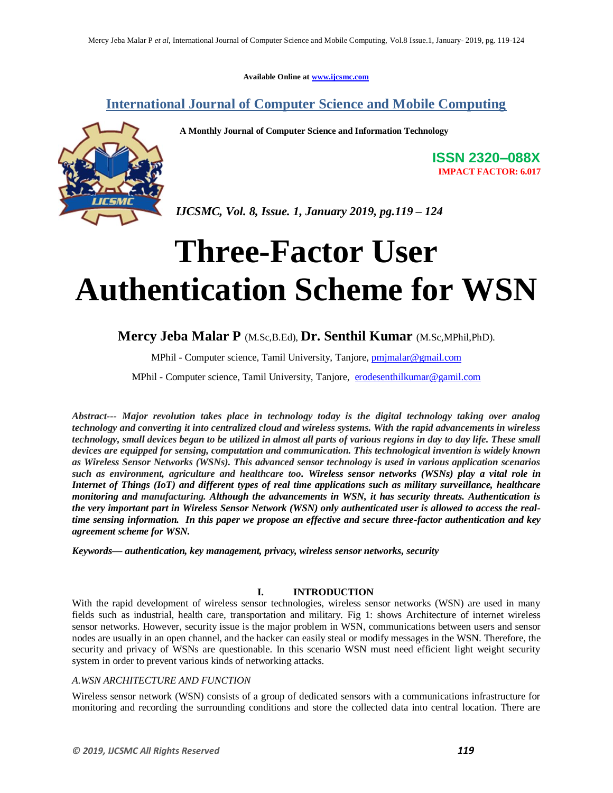**Available Online at www.ijcsmc.com**

**International Journal of Computer Science and Mobile Computing**

 **A Monthly Journal of Computer Science and Information Technology**



**ISSN 2320–088X IMPACT FACTOR: 6.017**

*IJCSMC, Vol. 8, Issue. 1, January 2019, pg.119 – 124*

# **Three-Factor User Authentication Scheme for WSN**

### **Mercy Jeba Malar P** (M.Sc,B.Ed), **Dr. Senthil Kumar** (M.Sc,MPhil,PhD).

MPhil - Computer science, Tamil University, Tanjore, pmjmalar@gmail.com

MPhil - Computer science, Tamil University, Tanjore, erodesenthilkumar@gamil.com

*Abstract--- Major revolution takes place in technology today is the digital technology taking over analog technology and converting it into centralized cloud and wireless systems. With the rapid advancements in wireless technology, small devices began to be utilized in almost all parts of various regions in day to day life. These small devices are equipped for sensing, computation and communication. This technological invention is widely known as Wireless Sensor Networks (WSNs). This advanced sensor technology is used in various application scenarios such as environment, agriculture and healthcare too. Wireless sensor networks (WSNs) play a vital role in Internet of Things (IoT) and different types of real time applications such as military surveillance, healthcare monitoring and manufacturing. Although the advancements in WSN, it has security threats. Authentication is the very important part in Wireless Sensor Network (WSN) only authenticated user is allowed to access the realtime sensing information. In this paper we propose an effective and secure three-factor authentication and key agreement scheme for WSN.*

*Keywords— authentication, key management, privacy, wireless sensor networks, security*

#### **I. INTRODUCTION**

With the rapid development of wireless sensor technologies, wireless sensor networks (WSN) are used in many fields such as industrial, health care, transportation and military. Fig 1: shows Architecture of internet wireless sensor networks. However, security issue is the major problem in WSN, communications between users and sensor nodes are usually in an open channel, and the hacker can easily steal or modify messages in the WSN. Therefore, the security and privacy of WSNs are questionable. In this scenario WSN must need efficient light weight security system in order to prevent various kinds of networking attacks.

#### *A.WSN ARCHITECTURE AND FUNCTION*

Wireless sensor network (WSN) consists of a group of dedicated sensors with a communications infrastructure for monitoring and recording the surrounding conditions and store the collected data into central location. There are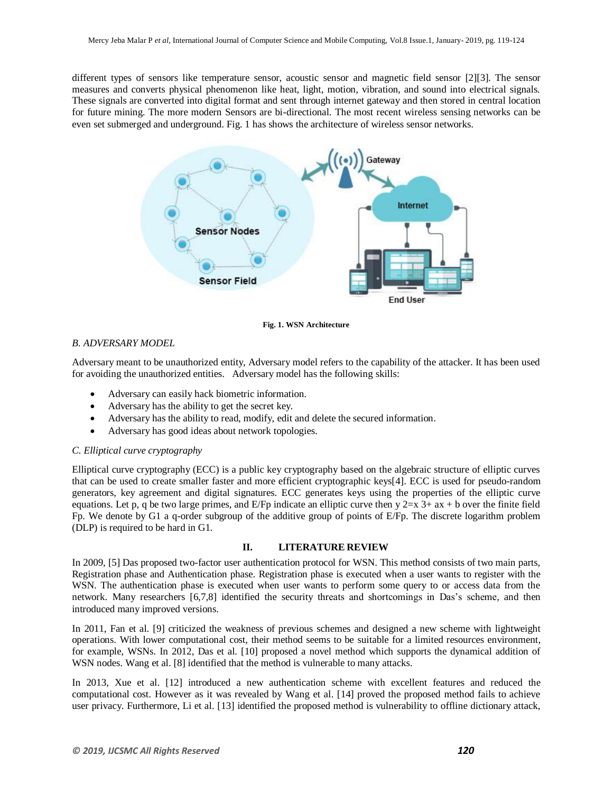different types of sensors like temperature sensor, acoustic sensor and magnetic field sensor [2][3]. The sensor measures and converts physical phenomenon like heat, light, motion, vibration, and sound into electrical signals. These signals are converted into digital format and sent through internet gateway and then stored in central location for future mining. The more modern Sensors are bi-directional. The most recent wireless sensing networks can be even set submerged and underground. Fig. 1 has shows the architecture of wireless sensor networks.



**Fig. 1. WSN Architecture**

#### *B. ADVERSARY MODEL*

Adversary meant to be unauthorized entity, Adversary model refers to the capability of the attacker. It has been used for avoiding the unauthorized entities. Adversary model has the following skills:

- Adversary can easily hack biometric information.
- Adversary has the ability to get the secret key.
- Adversary has the ability to read, modify, edit and delete the secured information.
- Adversary has good ideas about network topologies.

#### *C. Elliptical curve cryptography*

Elliptical curve cryptography (ECC) is a public key cryptography based on the algebraic structure of elliptic curves that can be used to create smaller faster and more efficient cryptographic keys[4]. ECC is used for pseudo-random generators, key agreement and digital signatures. ECC generates keys using the properties of the elliptic curve equations. Let p, q be two large primes, and E/Fp indicate an elliptic curve then  $y$  2=x 3+ ax + b over the finite field Fp. We denote by G1 a q-order subgroup of the additive group of points of E/Fp. The discrete logarithm problem (DLP) is required to be hard in G1.

#### **II. LITERATURE REVIEW**

In 2009, [5] Das proposed two-factor user authentication protocol for WSN. This method consists of two main parts, Registration phase and Authentication phase. Registration phase is executed when a user wants to register with the WSN. The authentication phase is executed when user wants to perform some query to or access data from the network. Many researchers [6,7,8] identified the security threats and shortcomings in Das's scheme, and then introduced many improved versions.

In 2011, Fan et al. [\[9\]](https://www.ncbi.nlm.nih.gov/pmc/articles/PMC5750781/#B12-sensors-17-02946) criticized the weakness of previous schemes and designed a new scheme with lightweight operations. With lower computational cost, their method seems to be suitable for a limited resources environment, for example, WSNs. In 2012, Das et al. [\[10\]](https://www.ncbi.nlm.nih.gov/pmc/articles/PMC5750781/#B13-sensors-17-02946) proposed a novel method which supports the dynamical addition of WSN nodes. Wang et al. [\[8\]](https://www.ncbi.nlm.nih.gov/pmc/articles/PMC5750781/#B14-sensors-17-02946) identified that the method is vulnerable to many attacks.

In 2013, Xue et al. [\[12\]](https://www.ncbi.nlm.nih.gov/pmc/articles/PMC5750781/#B15-sensors-17-02946) introduced a new authentication scheme with excellent features and reduced the computational cost. However as it was revealed by Wang et al. [\[14\]](https://www.ncbi.nlm.nih.gov/pmc/articles/PMC5750781/#B3-sensors-17-02946) proved the proposed method fails to achieve user privacy. Furthermore, Li et al. [\[13\]](https://www.ncbi.nlm.nih.gov/pmc/articles/PMC5750781/#B16-sensors-17-02946) identified the proposed method is vulnerability to offline dictionary attack,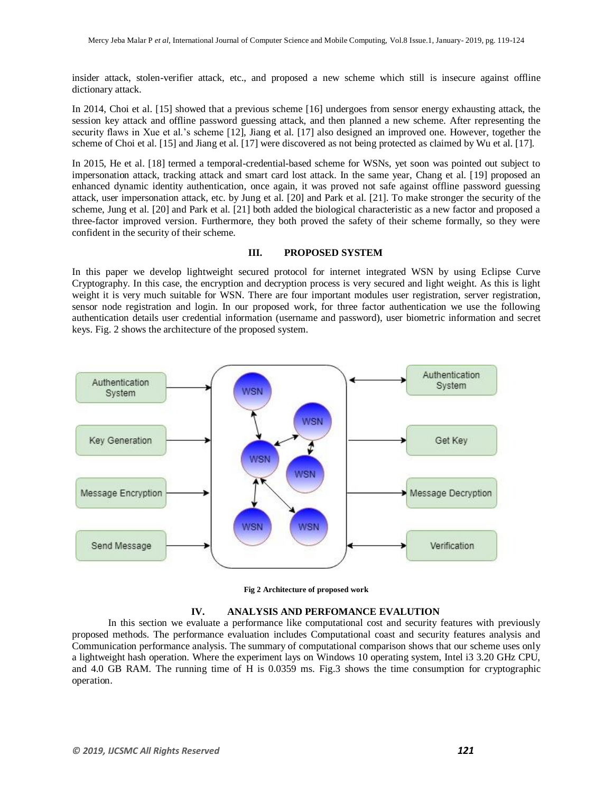insider attack, stolen-verifier attack, etc., and proposed a new scheme which still is insecure against offline dictionary attack.

In 2014, Choi et al. [\[15\]](https://www.ncbi.nlm.nih.gov/pmc/articles/PMC5750781/#B19-sensors-17-02946) showed that a previous scheme [\[16\]](https://www.ncbi.nlm.nih.gov/pmc/articles/PMC5750781/#B20-sensors-17-02946) undergoes from sensor energy exhausting attack, the session key attack and offline password guessing attack, and then planned a new scheme. After representing the security flaws in Xue et al.'s scheme [\[12\]](https://www.ncbi.nlm.nih.gov/pmc/articles/PMC5750781/#B15-sensors-17-02946), Jiang et al. [\[17\]](https://www.ncbi.nlm.nih.gov/pmc/articles/PMC5750781/#B21-sensors-17-02946) also designed an improved one. However, together the scheme of Choi et al. [\[15\]](https://www.ncbi.nlm.nih.gov/pmc/articles/PMC5750781/#B19-sensors-17-02946) and Jiang et al. [\[17\]](https://www.ncbi.nlm.nih.gov/pmc/articles/PMC5750781/#B21-sensors-17-02946) were discovered as not being protected as claimed by Wu et al. [\[17\]](https://www.ncbi.nlm.nih.gov/pmc/articles/PMC5750781/#B22-sensors-17-02946).

In 2015, He et al. [\[18\]](https://www.ncbi.nlm.nih.gov/pmc/articles/PMC5750781/#B23-sensors-17-02946) termed a temporal-credential-based scheme for WSNs, yet soon was pointed out subject to impersonation attack, tracking attack and smart card lost attack. In the same year, Chang et al. [\[19\]](https://www.ncbi.nlm.nih.gov/pmc/articles/PMC5750781/#B24-sensors-17-02946) proposed an enhanced dynamic identity authentication, once again, it was proved not safe against offline password guessing attack, user impersonation attack, etc. by Jung et al. [\[20\]](https://www.ncbi.nlm.nih.gov/pmc/articles/PMC5750781/#B25-sensors-17-02946) and Park et al. [\[21\]](https://www.ncbi.nlm.nih.gov/pmc/articles/PMC5750781/#B26-sensors-17-02946). To make stronger the security of the scheme, Jung et al. [\[20\]](https://www.ncbi.nlm.nih.gov/pmc/articles/PMC5750781/#B25-sensors-17-02946) and Park et al. [\[21\]](https://www.ncbi.nlm.nih.gov/pmc/articles/PMC5750781/#B26-sensors-17-02946) both added the biological characteristic as a new factor and proposed a three-factor improved version. Furthermore, they both proved the safety of their scheme formally, so they were confident in the security of their scheme.

#### **III. PROPOSED SYSTEM**

In this paper we develop lightweight secured protocol for internet integrated WSN by using Eclipse Curve Cryptography. In this case, the encryption and decryption process is very secured and light weight. As this is light weight it is very much suitable for WSN. There are four important modules user registration, server registration, sensor node registration and login. In our proposed work, for three factor authentication we use the following authentication details user credential information (username and password), user biometric information and secret keys. Fig. 2 shows the architecture of the proposed system.



**Fig 2 Architecture of proposed work**

#### **IV. ANALYSIS AND PERFOMANCE EVALUTION**

In this section we evaluate a performance like computational cost and security features with previously proposed methods. The performance evaluation includes Computational coast and security features analysis and Communication performance analysis. The summary of computational comparison shows that our scheme uses only a lightweight hash operation. Where the experiment lays on Windows 10 operating system, Intel i3 3.20 GHz CPU, and 4.0 GB RAM. The running time of H is 0.0359 ms. Fig.3 shows the time consumption for cryptographic operation.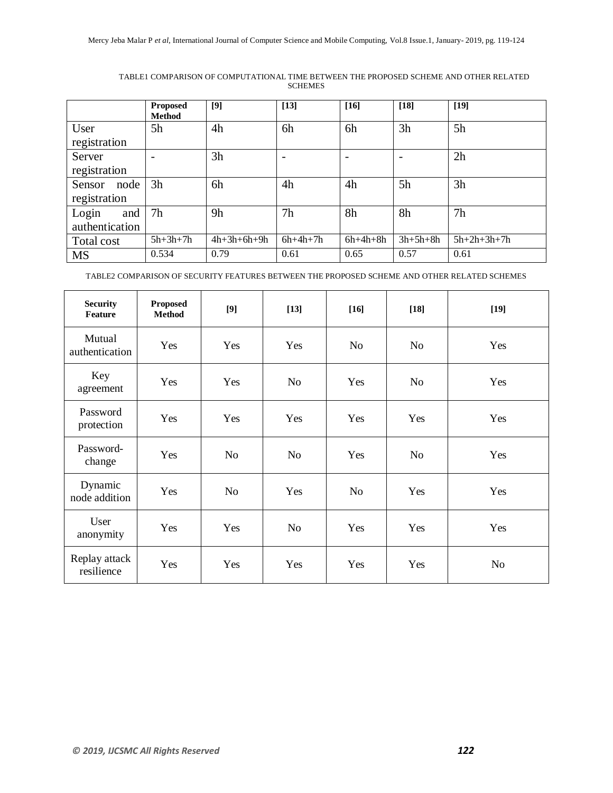|                | <b>Proposed</b><br><b>Method</b> | [9]           | $[13]$         | $[16]$     | $[18]$                   | $[19]$        |
|----------------|----------------------------------|---------------|----------------|------------|--------------------------|---------------|
| User           | 5h                               | 4h            | 6h             | 6h         | 3h                       | 5h            |
| registration   |                                  |               |                |            |                          |               |
| Server         |                                  | 3h            |                |            | $\overline{\phantom{0}}$ | 2h            |
| registration   |                                  |               |                |            |                          |               |
| Sensor<br>node | 3 <sub>h</sub>                   | 6h            | 4h             | 4h         | 5h                       | 3h            |
| registration   |                                  |               |                |            |                          |               |
| Login<br>and   | 7 <sub>h</sub>                   | 9h            | 7 <sub>h</sub> | 8h         | 8h                       | 7h            |
| authentication |                                  |               |                |            |                          |               |
| Total cost     | $5h+3h+7h$                       | $4h+3h+6h+9h$ | $6h+4h+7h$     | $6h+4h+8h$ | $3h+5h+8h$               | $5h+2h+3h+7h$ |
| <b>MS</b>      | 0.534                            | 0.79          | 0.61           | 0.65       | 0.57                     | 0.61          |

TABLE1 COMPARISON OF COMPUTATIONAL TIME BETWEEN THE PROPOSED SCHEME AND OTHER RELATED SCHEMES

TABLE2 COMPARISON OF SECURITY FEATURES BETWEEN THE PROPOSED SCHEME AND OTHER RELATED SCHEMES

| <b>Security</b><br>Feature  | <b>Proposed</b><br><b>Method</b> | [9]            | $[13]$ | $[16]$         | $[18]$         | $[19]$ |
|-----------------------------|----------------------------------|----------------|--------|----------------|----------------|--------|
| Mutual<br>authentication    | Yes                              | Yes            | Yes    | N <sub>o</sub> | No.            | Yes    |
| Key<br>agreement            | Yes                              | Yes            | No     | Yes            | N <sub>o</sub> | Yes    |
| Password<br>protection      | Yes                              | Yes            | Yes    | Yes            | Yes            | Yes    |
| Password-<br>change         | Yes                              | N <sub>o</sub> | No     | Yes            | N <sub>0</sub> | Yes    |
| Dynamic<br>node addition    | Yes                              | N <sub>o</sub> | Yes    | N <sub>o</sub> | Yes            | Yes    |
| User<br>anonymity           | Yes                              | Yes            | No     | Yes            | Yes            | Yes    |
| Replay attack<br>resilience | Yes                              | Yes            | Yes    | Yes            | Yes            | No     |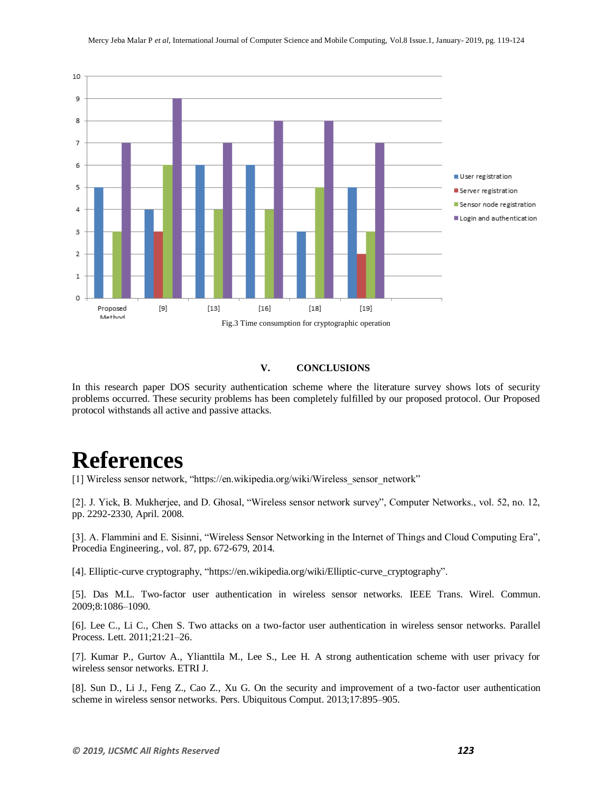

#### **V. CONCLUSIONS**

In this research paper DOS security authentication scheme where the literature survey shows lots of security problems occurred. These security problems has been completely fulfilled by our proposed protocol. Our Proposed protocol withstands all active and passive attacks.

## **References**

[1] Wireless sensor network, "https://en.wikipedia.org/wiki/Wireless\_sensor\_network"

[2]. J. Yick, B. Mukherjee, and D. Ghosal, "Wireless sensor network survey", Computer Networks., vol. 52, no. 12, pp. 2292-2330, April. 2008.

[3]. A. Flammini and E. Sisinni, "Wireless Sensor Networking in the Internet of Things and Cloud Computing Era", Procedia Engineering., vol. 87, pp. 672-679, 2014.

[4]. Elliptic-curve cryptography, "https://en.wikipedia.org/wiki/Elliptic-curve\_cryptography".

[5]. Das M.L. Two-factor user authentication in wireless sensor networks. IEEE Trans. Wirel. Commun. 2009;8:1086–1090.

[6]. Lee C., Li C., Chen S. Two attacks on a two-factor user authentication in wireless sensor networks. Parallel Process. Lett. 2011;21:21–26.

[7]. Kumar P., Gurtov A., Ylianttila M., Lee S., Lee H. A strong authentication scheme with user privacy for wireless sensor networks. ETRI J.

[8]. Sun D., Li J., Feng Z., Cao Z., Xu G. On the security and improvement of a two-factor user authentication scheme in wireless sensor networks. Pers. Ubiquitous Comput. 2013;17:895–905.